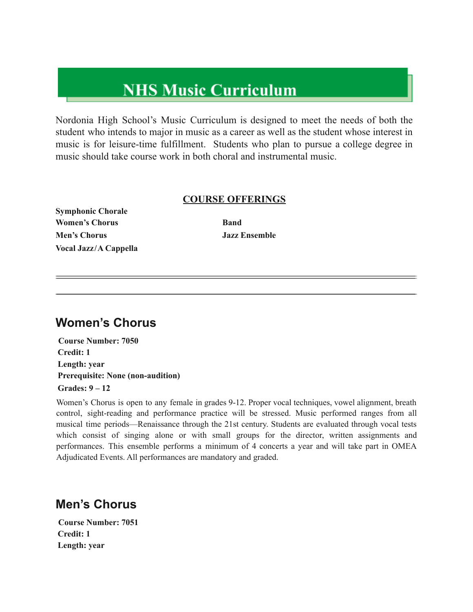# **NHS Music Curriculum**

Nordonia High School's Music Curriculum is designed to meet the needs of both the student who intends to major in music as a career as well as the student whose interest in music is for leisure-time fulfillment. Students who plan to pursue a college degree in music should take course work in both choral and instrumental music.

#### **COURSE OFFERINGS**

**Symphonic Chorale Women's Chorus Band Men's Chorus Jazz Ensemble Vocal Jazz/A Cappella**

### **Women's Chorus**

**Course Number: 7050 Credit: 1 Length: year Prerequisite: None (non-audition) Grades: 9 – 12**

Women's Chorus is open to any female in grades 9-12. Proper vocal techniques, vowel alignment, breath control, sight-reading and performance practice will be stressed. Music performed ranges from all musical time periods—Renaissance through the 21st century. Students are evaluated through vocal tests which consist of singing alone or with small groups for the director, written assignments and performances. This ensemble performs a minimum of 4 concerts a year and will take part in OMEA Adjudicated Events. All performances are mandatory and graded.

### **Men's Chorus**

**Course Number: 7051 Credit: 1 Length: year**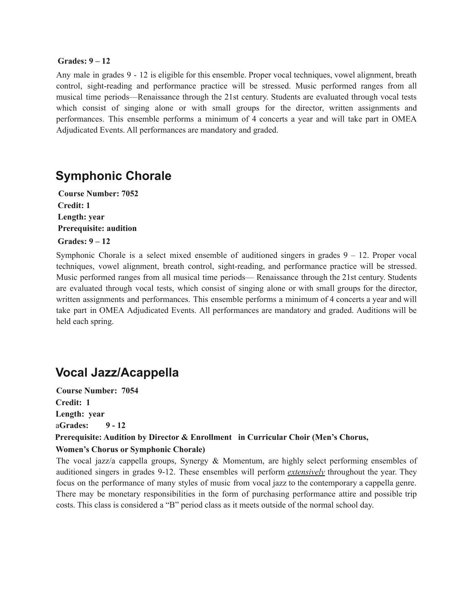#### **Grades: 9 – 12**

Any male in grades 9 - 12 is eligible for this ensemble. Proper vocal techniques, vowel alignment, breath control, sight-reading and performance practice will be stressed. Music performed ranges from all musical time periods—Renaissance through the 21st century. Students are evaluated through vocal tests which consist of singing alone or with small groups for the director, written assignments and performances. This ensemble performs a minimum of 4 concerts a year and will take part in OMEA Adjudicated Events. All performances are mandatory and graded.

### **Symphonic Chorale**

**Course Number: 7052 Credit: 1 Length: year Prerequisite: audition**

**Grades: 9 – 12**

Symphonic Chorale is a select mixed ensemble of auditioned singers in grades 9 – 12. Proper vocal techniques, vowel alignment, breath control, sight-reading, and performance practice will be stressed. Music performed ranges from all musical time periods— Renaissance through the 21st century. Students are evaluated through vocal tests, which consist of singing alone or with small groups for the director, written assignments and performances. This ensemble performs a minimum of 4 concerts a year and will take part in OMEA Adjudicated Events. All performances are mandatory and graded. Auditions will be held each spring.

### **Vocal Jazz/Acappella**

**Course Number: 7054 Credit: 1 Length: year** a**Grades: 9 - 12 Prerequisite: Audition by Director & Enrollment in Curricular Choir (Men's Chorus, Women's Chorus or Symphonic Chorale)**

The vocal jazz/a cappella groups, Synergy & Momentum, are highly select performing ensembles of auditioned singers in grades 9-12. These ensembles will perform *extensively* throughout the year. They focus on the performance of many styles of music from vocal jazz to the contemporary a cappella genre. There may be monetary responsibilities in the form of purchasing performance attire and possible trip costs. This class is considered a "B" period class as it meets outside of the normal school day.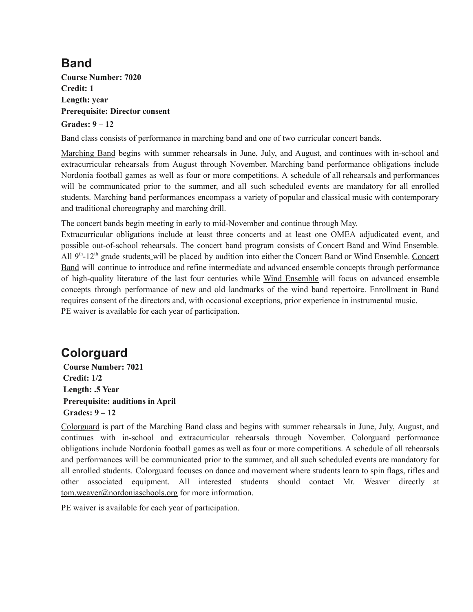## **Band**

**Course Number: 7020 Credit: 1 Length: year Prerequisite: Director consent Grades: 9 – 12**

Band class consists of performance in marching band and one of two curricular concert bands.

Marching Band begins with summer rehearsals in June, July, and August, and continues with in-school and extracurricular rehearsals from August through November. Marching band performance obligations include Nordonia football games as well as four or more competitions. A schedule of all rehearsals and performances will be communicated prior to the summer, and all such scheduled events are mandatory for all enrolled students. Marching band performances encompass a variety of popular and classical music with contemporary and traditional choreography and marching drill.

The concert bands begin meeting in early to mid-November and continue through May.

Extracurricular obligations include at least three concerts and at least one OMEA adjudicated event, and possible out-of-school rehearsals. The concert band program consists of Concert Band and Wind Ensemble. All 9<sup>th</sup>-12<sup>th</sup> grade students will be placed by audition into either the Concert Band or Wind Ensemble. Concert Band will continue to introduce and refine intermediate and advanced ensemble concepts through performance of high-quality literature of the last four centuries while Wind Ensemble will focus on advanced ensemble concepts through performance of new and old landmarks of the wind band repertoire. Enrollment in Band requires consent of the directors and, with occasional exceptions, prior experience in instrumental music. PE waiver is available for each year of participation.

# **Colorguard**

**Course Number: 7021 Credit: 1/2 Length: .5 Year Prerequisite: auditions in April Grades: 9 – 12**

Colorguard is part of the Marching Band class and begins with summer rehearsals in June, July, August, and continues with in-school and extracurricular rehearsals through November. Colorguard performance obligations include Nordonia football games as well as four or more competitions. A schedule of all rehearsals and performances will be communicated prior to the summer, and all such scheduled events are mandatory for all enrolled students. Colorguard focuses on dance and movement where students learn to spin flags, rifles and other associated equipment. All interested students should contact Mr. Weaver directly at [tom.weaver@nordoniaschools.org](mailto:tom.weaver@nordoniaschools.org) for more information.

PE waiver is available for each year of participation.